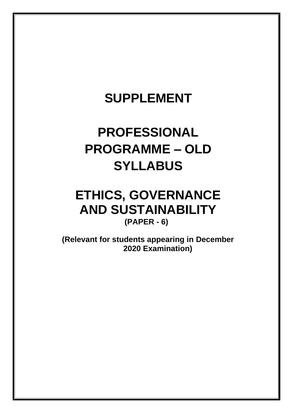# **SUPPLEMENT**

# **PROFESSIONAL PROGRAMME – OLD SYLLABUS**

## **ETHICS, GOVERNANCE AND SUSTAINABILITY (PAPER - 6)**

**(Relevant for students appearing in December 2020 Examination)**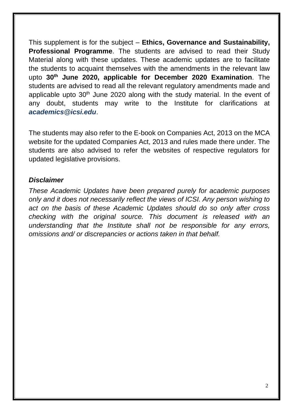This supplement is for the subject – **Ethics, Governance and Sustainability, Professional Programme**. The students are advised to read their Study Material along with these updates. These academic updates are to facilitate the students to acquaint themselves with the amendments in the relevant law upto **30 th June 2020, applicable for December 2020 Examination**. The students are advised to read all the relevant regulatory amendments made and applicable upto  $30<sup>th</sup>$  June 2020 along with the study material. In the event of any doubt, students may write to the Institute for clarifications at *[academics@icsi.edu](mailto:academics@icsi.edu)*.

The students may also refer to the E-book on Companies Act, 2013 on the MCA website for the updated Companies Act, 2013 and rules made there under. The students are also advised to refer the websites of respective regulators for updated legislative provisions.

#### *Disclaimer*

*These Academic Updates have been prepared purely for academic purposes only and it does not necessarily reflect the views of ICSI. Any person wishing to act on the basis of these Academic Updates should do so only after cross checking with the original source. This document is released with an understanding that the Institute shall not be responsible for any errors, omissions and/ or discrepancies or actions taken in that behalf.*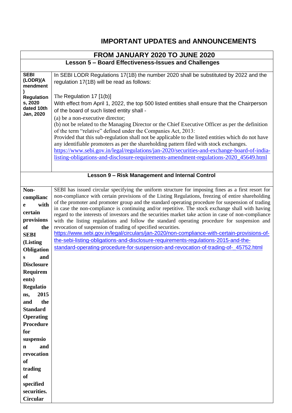## **IMPORTANT UPDATES and ANNOUNCEMENTS**

|                         | FROM JANUARY 2020 TO JUNE 2020                                                                                                                                                                        |
|-------------------------|-------------------------------------------------------------------------------------------------------------------------------------------------------------------------------------------------------|
|                         | Lesson 5 - Board Effectiveness-Issues and Challenges                                                                                                                                                  |
| <b>SEBI</b>             | In SEBI LODR Regulations 17(1B) the number 2020 shall be substituted by 2022 and the                                                                                                                  |
| (LODR)(A<br>mendment    | regulation 17(1B) will be read as follows:                                                                                                                                                            |
| <b>Regulation</b>       | The Regulation $17$ [1(b)]                                                                                                                                                                            |
| s, 2020                 | With effect from April 1, 2022, the top 500 listed entities shall ensure that the Chairperson                                                                                                         |
| dated 10th<br>Jan, 2020 | of the board of such listed entity shall -                                                                                                                                                            |
|                         | (a) be a non-executive director;                                                                                                                                                                      |
|                         | (b) not be related to the Managing Director or the Chief Executive Officer as per the definition<br>of the term "relative" defined under the Companies Act, 2013:                                     |
|                         | Provided that this sub-regulation shall not be applicable to the listed entities which do not have                                                                                                    |
|                         | any identifiable promoters as per the shareholding pattern filed with stock exchanges.                                                                                                                |
|                         | https://www.sebi.gov.in/legal/regulations/jan-2020/securities-and-exchange-board-of-india-                                                                                                            |
|                         | listing-obligations-and-disclosure-requirements-amendment-regulations-2020_45649.html                                                                                                                 |
|                         |                                                                                                                                                                                                       |
|                         | Lesson 9 - Risk Management and Internal Control                                                                                                                                                       |
| Non-                    | SEBI has issued circular specifying the uniform structure for imposing fines as a first resort for                                                                                                    |
| complianc               | non-compliance with certain provisions of the Listing Regulations, freezing of entire shareholding                                                                                                    |
| with<br>e               | of the promoter and promoter group and the standard operating procedure for suspension of trading<br>in case the non-compliance is continuing and/or repetitive. The stock exchange shall with having |
| certain                 | regard to the interests of investors and the securities market take action in case of non-compliance                                                                                                  |
| provisions              | with the listing regulations and follow the standard operating procedure for suspension and                                                                                                           |
| of<br>the               | revocation of suspension of trading of specified securities.<br>https://www.sebi.gov.in/legal/circulars/jan-2020/non-compliance-with-certain-provisions-of-                                           |
| <b>SEBI</b>             | the-sebi-listing-obligations-and-disclosure-requirements-regulations-2015-and-the-                                                                                                                    |
| (Listing<br>Obligation  | standard-operating-procedure-for-suspension-and-revocation-of-trading-of-_45752.html                                                                                                                  |
| and<br>S                |                                                                                                                                                                                                       |
| <b>Disclosure</b>       |                                                                                                                                                                                                       |
| Requirem                |                                                                                                                                                                                                       |
| ents)                   |                                                                                                                                                                                                       |
| <b>Regulatio</b>        |                                                                                                                                                                                                       |
| 2015<br>ns,             |                                                                                                                                                                                                       |
| the<br>and              |                                                                                                                                                                                                       |
| <b>Standard</b>         |                                                                                                                                                                                                       |
| <b>Operating</b>        |                                                                                                                                                                                                       |
| <b>Procedure</b><br>for |                                                                                                                                                                                                       |
| suspensio               |                                                                                                                                                                                                       |
| and<br>$\mathbf n$      |                                                                                                                                                                                                       |
| revocation              |                                                                                                                                                                                                       |
| <b>of</b>               |                                                                                                                                                                                                       |
| trading                 |                                                                                                                                                                                                       |
| <b>of</b>               |                                                                                                                                                                                                       |
| specified               |                                                                                                                                                                                                       |
| securities.             |                                                                                                                                                                                                       |
| <b>Circular</b>         |                                                                                                                                                                                                       |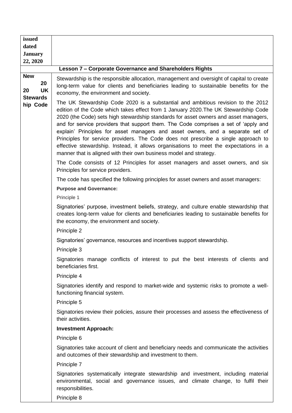| issued                                                             |                                                                                                                                                                                                                                                                                                                                                                                                                                                                                                                                                                                                                                                                                                                                                                                  |
|--------------------------------------------------------------------|----------------------------------------------------------------------------------------------------------------------------------------------------------------------------------------------------------------------------------------------------------------------------------------------------------------------------------------------------------------------------------------------------------------------------------------------------------------------------------------------------------------------------------------------------------------------------------------------------------------------------------------------------------------------------------------------------------------------------------------------------------------------------------|
| dated<br><b>January</b>                                            |                                                                                                                                                                                                                                                                                                                                                                                                                                                                                                                                                                                                                                                                                                                                                                                  |
| 22, 2020                                                           |                                                                                                                                                                                                                                                                                                                                                                                                                                                                                                                                                                                                                                                                                                                                                                                  |
|                                                                    | Lesson 7 - Corporate Governance and Shareholders Rights                                                                                                                                                                                                                                                                                                                                                                                                                                                                                                                                                                                                                                                                                                                          |
| <b>New</b><br>20<br><b>UK</b><br>20<br><b>Stewards</b><br>hip Code | Stewardship is the responsible allocation, management and oversight of capital to create<br>long-term value for clients and beneficiaries leading to sustainable benefits for the<br>economy, the environment and society.                                                                                                                                                                                                                                                                                                                                                                                                                                                                                                                                                       |
|                                                                    | The UK Stewardship Code 2020 is a substantial and ambitious revision to the 2012<br>edition of the Code which takes effect from 1 January 2020. The UK Stewardship Code<br>2020 (the Code) sets high stewardship standards for asset owners and asset managers,<br>and for service providers that support them. The Code comprises a set of 'apply and<br>explain' Principles for asset managers and asset owners, and a separate set of<br>Principles for service providers. The Code does not prescribe a single approach to<br>effective stewardship. Instead, it allows organisations to meet the expectations in a<br>manner that is aligned with their own business model and strategy.<br>The Code consists of 12 Principles for asset managers and asset owners, and six |
|                                                                    | Principles for service providers.                                                                                                                                                                                                                                                                                                                                                                                                                                                                                                                                                                                                                                                                                                                                                |
|                                                                    | The code has specified the following principles for asset owners and asset managers:                                                                                                                                                                                                                                                                                                                                                                                                                                                                                                                                                                                                                                                                                             |
|                                                                    | <b>Purpose and Governance:</b>                                                                                                                                                                                                                                                                                                                                                                                                                                                                                                                                                                                                                                                                                                                                                   |
|                                                                    | Principle 1                                                                                                                                                                                                                                                                                                                                                                                                                                                                                                                                                                                                                                                                                                                                                                      |
|                                                                    | Signatories' purpose, investment beliefs, strategy, and culture enable stewardship that<br>creates long-term value for clients and beneficiaries leading to sustainable benefits for<br>the economy, the environment and society.                                                                                                                                                                                                                                                                                                                                                                                                                                                                                                                                                |
|                                                                    | Principle 2                                                                                                                                                                                                                                                                                                                                                                                                                                                                                                                                                                                                                                                                                                                                                                      |
|                                                                    | Signatories' governance, resources and incentives support stewardship.                                                                                                                                                                                                                                                                                                                                                                                                                                                                                                                                                                                                                                                                                                           |
|                                                                    | Principle 3                                                                                                                                                                                                                                                                                                                                                                                                                                                                                                                                                                                                                                                                                                                                                                      |
|                                                                    | Signatories manage conflicts of interest to put the best interests of clients and<br>beneficiaries first.                                                                                                                                                                                                                                                                                                                                                                                                                                                                                                                                                                                                                                                                        |
|                                                                    | Principle 4                                                                                                                                                                                                                                                                                                                                                                                                                                                                                                                                                                                                                                                                                                                                                                      |
|                                                                    | Signatories identify and respond to market-wide and systemic risks to promote a well-<br>functioning financial system.                                                                                                                                                                                                                                                                                                                                                                                                                                                                                                                                                                                                                                                           |
|                                                                    | Principle 5                                                                                                                                                                                                                                                                                                                                                                                                                                                                                                                                                                                                                                                                                                                                                                      |
|                                                                    | Signatories review their policies, assure their processes and assess the effectiveness of<br>their activities.                                                                                                                                                                                                                                                                                                                                                                                                                                                                                                                                                                                                                                                                   |
|                                                                    | <b>Investment Approach:</b>                                                                                                                                                                                                                                                                                                                                                                                                                                                                                                                                                                                                                                                                                                                                                      |
|                                                                    | Principle 6                                                                                                                                                                                                                                                                                                                                                                                                                                                                                                                                                                                                                                                                                                                                                                      |
|                                                                    | Signatories take account of client and beneficiary needs and communicate the activities<br>and outcomes of their stewardship and investment to them.                                                                                                                                                                                                                                                                                                                                                                                                                                                                                                                                                                                                                             |
|                                                                    | Principle 7                                                                                                                                                                                                                                                                                                                                                                                                                                                                                                                                                                                                                                                                                                                                                                      |
|                                                                    | Signatories systematically integrate stewardship and investment, including material<br>environmental, social and governance issues, and climate change, to fulfil their<br>responsibilities.                                                                                                                                                                                                                                                                                                                                                                                                                                                                                                                                                                                     |

Principle 8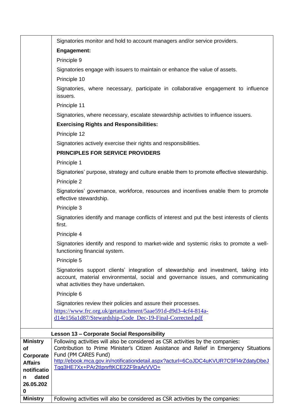|                             | Signatories monitor and hold to account managers and/or service providers.                                                                                                                                       |
|-----------------------------|------------------------------------------------------------------------------------------------------------------------------------------------------------------------------------------------------------------|
|                             | Engagement:                                                                                                                                                                                                      |
|                             | Principle 9                                                                                                                                                                                                      |
|                             | Signatories engage with issuers to maintain or enhance the value of assets.                                                                                                                                      |
|                             | Principle 10                                                                                                                                                                                                     |
|                             | Signatories, where necessary, participate in collaborative engagement to influence<br>issuers.                                                                                                                   |
|                             | Principle 11                                                                                                                                                                                                     |
|                             | Signatories, where necessary, escalate stewardship activities to influence issuers.                                                                                                                              |
|                             | <b>Exercising Rights and Responsibilities:</b>                                                                                                                                                                   |
|                             | Principle 12                                                                                                                                                                                                     |
|                             | Signatories actively exercise their rights and responsibilities.                                                                                                                                                 |
|                             | <b>PRINCIPLES FOR SERVICE PROVIDERS</b>                                                                                                                                                                          |
|                             | Principle 1                                                                                                                                                                                                      |
|                             | Signatories' purpose, strategy and culture enable them to promote effective stewardship.                                                                                                                         |
|                             | Principle 2                                                                                                                                                                                                      |
|                             | Signatories' governance, workforce, resources and incentives enable them to promote<br>effective stewardship.                                                                                                    |
|                             | Principle 3                                                                                                                                                                                                      |
|                             | Signatories identify and manage conflicts of interest and put the best interests of clients<br>first.                                                                                                            |
|                             | Principle 4                                                                                                                                                                                                      |
|                             | Signatories identify and respond to market-wide and systemic risks to promote a well-<br>functioning financial system.                                                                                           |
|                             | Principle 5                                                                                                                                                                                                      |
|                             | Signatories support clients' integration of stewardship and investment, taking into<br>account, material environmental, social and governance issues, and communicating<br>what activities they have undertaken. |
|                             | Principle 6                                                                                                                                                                                                      |
|                             | Signatories review their policies and assure their processes.                                                                                                                                                    |
|                             | https://www.frc.org.uk/getattachment/5aae591d-d9d3-4cf4-814a-                                                                                                                                                    |
|                             | d14e156a1d87/Stewardship-Code_Dec-19-Final-Corrected.pdf                                                                                                                                                         |
|                             | <b>Lesson 13 - Corporate Social Responsibility</b>                                                                                                                                                               |
| <b>Ministry</b>             | Following activities will also be considered as CSR activities by the companies:                                                                                                                                 |
| of                          | Contribution to Prime Minister's Citizen Assistance and Relief in Emergency Situations<br>Fund (PM CARES Fund)                                                                                                   |
| Corporate<br><b>Affairs</b> | http://ebook.mca.gov.in/notificationdetail.aspx?acturl=6CoJDC4uKVUR7C9FI4rZdatyDbeJ                                                                                                                              |
| notificatio                 | Tqq3HE7Xx+PAr2tlpnrftKCE2ZF9raArVVO+                                                                                                                                                                             |
| dated<br>n                  |                                                                                                                                                                                                                  |
| 26.05.202                   |                                                                                                                                                                                                                  |
| 0<br><b>Ministry</b>        |                                                                                                                                                                                                                  |
|                             | Following activities will also be considered as CSR activities by the companies:                                                                                                                                 |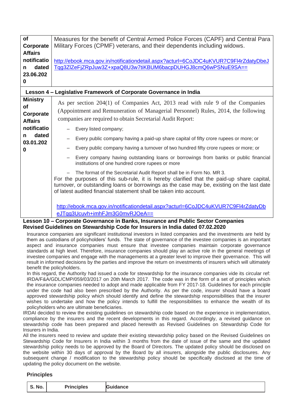| <b>of</b>       | Measures for the benefit of Central Armed Police Forces (CAPF) and Central Para                                                                                                                                                                                                                                                        |  |  |  |
|-----------------|----------------------------------------------------------------------------------------------------------------------------------------------------------------------------------------------------------------------------------------------------------------------------------------------------------------------------------------|--|--|--|
| Corporate       | Military Forces (CPMF) veterans, and their dependents including widows.                                                                                                                                                                                                                                                                |  |  |  |
| <b>Affairs</b>  |                                                                                                                                                                                                                                                                                                                                        |  |  |  |
| notificatio     | http://ebook.mca.gov.in/notificationdetail.aspx?acturl=6CoJDC4uKVUR7C9FI4rZdatyDbeJ                                                                                                                                                                                                                                                    |  |  |  |
| dated<br>n      | Tqg3ZlZeFjZRpJuw3Z+xpaQ8U3w7tiKBUM6bacpDUHGJ8cmQ6wPSNuE9SA==                                                                                                                                                                                                                                                                           |  |  |  |
| 23.06.202       |                                                                                                                                                                                                                                                                                                                                        |  |  |  |
|                 |                                                                                                                                                                                                                                                                                                                                        |  |  |  |
| 0               |                                                                                                                                                                                                                                                                                                                                        |  |  |  |
|                 | Lesson 4 - Legislative Framework of Corporate Governance in India                                                                                                                                                                                                                                                                      |  |  |  |
| <b>Ministry</b> | As per section 204(1) of Companies Act, 2013 read with rule 9 of the Companies                                                                                                                                                                                                                                                         |  |  |  |
| <b>of</b>       |                                                                                                                                                                                                                                                                                                                                        |  |  |  |
| Corporate       | (Appointment and Remuneration of Managerial Personnel) Rules, 2014, the following                                                                                                                                                                                                                                                      |  |  |  |
| <b>Affairs</b>  | companies are required to obtain Secretarial Audit Report:                                                                                                                                                                                                                                                                             |  |  |  |
| notificatio     | Every listed company;                                                                                                                                                                                                                                                                                                                  |  |  |  |
| dated<br>n      |                                                                                                                                                                                                                                                                                                                                        |  |  |  |
| 03.01.202       | Every public company having a paid-up share capital of fifty crore rupees or more; or                                                                                                                                                                                                                                                  |  |  |  |
| 0               | Every public company having a turnover of two hundred fifty crore rupees or more; or                                                                                                                                                                                                                                                   |  |  |  |
|                 | Every company having outstanding loans or borrowings from banks or public financial<br>institutions of one hundred crore rupees or more                                                                                                                                                                                                |  |  |  |
|                 | The format of the Secretarial Audit Report shall be in Form No. MR 3.<br>For the purposes of this sub-rule, it is hereby clarified that the paid-up share capital,<br>turnover, or outstanding loans or borrowings as the case may be, existing on the last date<br>of latest audited financial statement shall be taken into account. |  |  |  |
|                 | http://ebook.mca.gov.in/notificationdetail.aspx?acturl=6CoJDC4uKVUR7C9Fl4rZdatyDb                                                                                                                                                                                                                                                      |  |  |  |
|                 | eJTqg3Ucuvh+imhFJm3G0mvRJOeA==                                                                                                                                                                                                                                                                                                         |  |  |  |
| $\overline{A}$  | Cornerate Covernance in Deplie, Incurrence and Dublic Contar Companies                                                                                                                                                                                                                                                                 |  |  |  |

#### **Lesson 10 – Corporate Governance in Banks, Insurance and Public Sector Companies Revised Guidelines on Stewardship Code for Insurers in India dated 07.02.2020**

Insurance companies are significant institutional investors in listed companies and the investments are held by them as custodians of policyholders' funds. The state of governance of the investee companies is an important aspect and insurance companies must ensure that investee companies maintain corporate governance standards at high level. Therefore, insurance companies should play an active role in the general meetings of investee companies and engage with the managements at a greater level to improve their governance. This will result in informed decisions by the parties and improve the return on investments of insurers which will ultimately benefit the policyholders.

In this regard, the Authority had issued a code for stewardship for the insurance companies vide its circular ref: IRDA/F&A/GDL/CMP/059/03/2017 on 20th March 2017. The code was in the form of a set of principles which the insurance companies needed to adopt and made applicable from FY 2017-18. Guidelines for each principle under the code had also been prescribed by the Authority. As per the code, insurer should have a board approved stewardship policy which should identify and define the stewardship responsibilities that the insurer wishes to undertake and how the policy intends to fulfill the responsibilities to enhance the wealth of its policyholders who are ultimate beneficiaries.

IRDAI decided to review the existing guidelines on stewardship code based on the experience in implementation, compliance by the insurers and the recent developments in this regard. Accordingly, a revised guidance on stewardship code has been prepared and placed herewith as Revised Guidelines on Stewardship Code for Insurers in India.

All the insurers need to review and update their existing stewardship policy based on the Revised Guidelines on Stewardship Code for Insurers in India within 3 months from the date of issue of the same and the updated stewardship policy needs to be approved by the Board of Directors. The updated policy should be disclosed on the website within 30 days of approval by the Board by all insurers, alongside the public disclosures. Any subsequent change / modification to the stewardship policy should be specifically disclosed at the time of updating the policy document on the website.

#### **Principles**

| No.<br>ີ | Drin<br>. <del>.</del><br>les.<br>. | $\tilde{\phantom{a}}$<br>----<br>псе |
|----------|-------------------------------------|--------------------------------------|
|----------|-------------------------------------|--------------------------------------|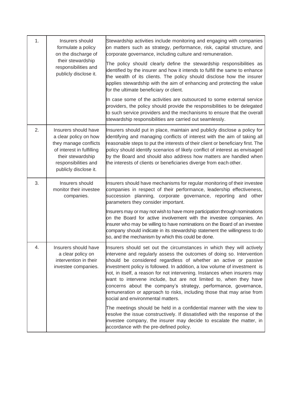| 1. | Insurers should<br>formulate a policy<br>on the discharge of                                                                                                              | Stewardship activities include monitoring and engaging with companies<br>on matters such as strategy, performance, risk, capital structure, and<br>corporate governance, including culture and remuneration.                                                                                                                                                                                                                                                                                                                                                                                                                       |
|----|---------------------------------------------------------------------------------------------------------------------------------------------------------------------------|------------------------------------------------------------------------------------------------------------------------------------------------------------------------------------------------------------------------------------------------------------------------------------------------------------------------------------------------------------------------------------------------------------------------------------------------------------------------------------------------------------------------------------------------------------------------------------------------------------------------------------|
|    | their stewardship<br>responsibilities and<br>publicly disclose it.                                                                                                        | The policy should clearly define the stewardship responsibilities as<br>identified by the insurer and how it intends to fulfill the same to enhance<br>the wealth of its clients. The policy should disclose how the insurer<br>applies stewardship with the aim of enhancing and protecting the value<br>for the ultimate beneficiary or client.                                                                                                                                                                                                                                                                                  |
|    |                                                                                                                                                                           | In case some of the activities are outsourced to some external service<br>providers, the policy should provide the responsibilities to be delegated<br>to such service providers and the mechanisms to ensure that the overall<br>stewardship responsibilities are carried out seamlessly.                                                                                                                                                                                                                                                                                                                                         |
| 2. | Insurers should have<br>a clear policy on how<br>they manage conflicts<br>of interest in fulfilling<br>their stewardship<br>responsibilities and<br>publicly disclose it. | Insurers should put in place, maintain and publicly disclose a policy for<br>identifying and managing conflicts of interest with the aim of taking all<br>reasonable steps to put the interests of their client or beneficiary first. The<br>policy should identify scenarios of likely conflict of interest as envisaged<br>by the Board and should also address how matters are handled when<br>the interests of clients or beneficiaries diverge from each other.                                                                                                                                                               |
| 3. | Insurers should<br>monitor their investee<br>companies.                                                                                                                   | Insurers should have mechanisms for regular monitoring of their investee<br>companies in respect of their performance, leadership effectiveness,<br>succession planning, corporate governance, reporting and other<br>parameters they consider important.                                                                                                                                                                                                                                                                                                                                                                          |
|    |                                                                                                                                                                           | Insurers may or may not wish to have more participation through nominations<br>on the Board for active involvement with the investee companies. An<br>insurer who may be willing to have nominations on the Board of an investee<br>company should indicate in its stewardship statement the willingness to do<br>so, and the mechanism by which this could be done.                                                                                                                                                                                                                                                               |
| 4. | Insurers should have<br>a clear policy on<br>intervention in their<br>investee companies.                                                                                 | Insurers should set out the circumstances in which they will actively<br>intervene and regularly assess the outcomes of doing so. Intervention<br>should be considered regardless of whether an active or passive<br>investment policy is followed. In addition, a low volume of investment is<br>not, in itself, a reason for not intervening. Instances when insurers may<br>want to intervene include, but are not limited to, when they have<br>concerns about the company's strategy, performance, governance,<br>remuneration or approach to risks, including those that may arise from<br>social and environmental matters. |
|    |                                                                                                                                                                           | The meetings should be held in a confidential manner with the view to<br>resolve the issue constructively. If dissatisfied with the response of the<br>investee company, the insurer may decide to escalate the matter, in<br>accordance with the pre-defined policy.                                                                                                                                                                                                                                                                                                                                                              |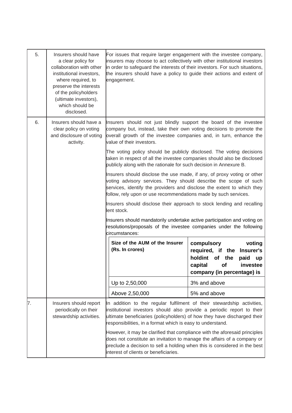| 5. | Insurers should have<br>a clear policy for<br>collaboration with other<br>institutional investors.<br>where required, to<br>preserve the interests<br>of the policyholders<br>(ultimate investors),<br>which should be<br>disclosed. | For issues that require larger engagement with the investee company,<br>insurers may choose to act collectively with other institutional investors<br>in order to safeguard the interests of their investors. For such situations,<br>the insurers should have a policy to guide their actions and extent of<br>engagement. |                                                                                                                                               |
|----|--------------------------------------------------------------------------------------------------------------------------------------------------------------------------------------------------------------------------------------|-----------------------------------------------------------------------------------------------------------------------------------------------------------------------------------------------------------------------------------------------------------------------------------------------------------------------------|-----------------------------------------------------------------------------------------------------------------------------------------------|
| 6. | Insurers should have a<br>clear policy on voting<br>and disclosure of voting<br>activity.                                                                                                                                            | Insurers should not just blindly support the board of the investee<br>company but, instead, take their own voting decisions to promote the<br>overall growth of the investee companies and, in turn, enhance the<br>value of their investors.                                                                               |                                                                                                                                               |
|    |                                                                                                                                                                                                                                      | The voting policy should be publicly disclosed. The voting decisions<br>taken in respect of all the investee companies should also be disclosed<br>publicly along with the rationale for such decision in Annexure B.                                                                                                       |                                                                                                                                               |
|    |                                                                                                                                                                                                                                      | Insurers should disclose the use made, if any, of proxy voting or other<br>voting advisory services. They should describe the scope of such<br>services, identify the providers and disclose the extent to which they<br>follow, rely upon or use recommendations made by such services.                                    |                                                                                                                                               |
|    |                                                                                                                                                                                                                                      | Insurers should disclose their approach to stock lending and recalling<br>lent stock.                                                                                                                                                                                                                                       |                                                                                                                                               |
|    |                                                                                                                                                                                                                                      | Insurers should mandatorily undertake active participation and voting on<br>resolutions/proposals of the investee companies under the following<br>lcircumstances:                                                                                                                                                          |                                                                                                                                               |
|    |                                                                                                                                                                                                                                      | Size of the AUM of the Insurer<br>(Rs. In crores)                                                                                                                                                                                                                                                                           | compulsory<br>voting<br>required, if the Insurer's<br>holdint of the<br>paid<br>up<br>capital<br>of<br>investee<br>company (in percentage) is |
|    |                                                                                                                                                                                                                                      | Up to 2,50,000                                                                                                                                                                                                                                                                                                              | 3% and above                                                                                                                                  |
|    |                                                                                                                                                                                                                                      | Above 2,50,000                                                                                                                                                                                                                                                                                                              | 5% and above                                                                                                                                  |
| 7. | Insurers should report<br>periodically on their<br>stewardship activities.                                                                                                                                                           | In addition to the regular fulfilment of their stewardship activities,<br>institutional investors should also provide a periodic report to their<br>ultimate beneficiaries (policyholders) of how they have discharged their<br>responsibilities, in a format which is easy to understand.                                  |                                                                                                                                               |
|    |                                                                                                                                                                                                                                      | However, it may be clarified that compliance with the aforesaid principles<br>does not constitute an invitation to manage the affairs of a company or<br>preclude a decision to sell a holding when this is considered in the best<br>interest of clients or beneficiaries.                                                 |                                                                                                                                               |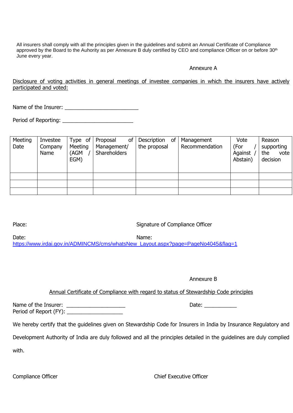All insurers shall comply with all the principles given in the guidelines and submit an Annual Certificate of Compliance approved by the Board to the Auhority as per Annexure B duly certified by CEO and compliance Officer on or before 30<sup>th</sup> June every year.

#### Annexure A

Disclosure of voting activities in general meetings of investee companies in which the insurers have actively participated and voted:

Name of the Insurer: \_\_\_\_\_\_\_\_\_\_\_\_\_\_\_\_\_\_\_\_\_\_\_\_\_

Period of Reporting: \_\_\_\_\_\_\_\_\_\_\_\_\_\_\_\_\_\_\_\_\_\_\_\_

| Meeting<br>Date | Investee<br>Company<br>Name | Type of<br>Meeting<br>(AGM<br>EGM) | οf<br>Proposal<br>Management/<br>Shareholders | of<br>Description<br>the proposal | Management<br>Recommendation | Vote<br>(For<br>Against<br>Abstain) | Reason<br>supporting<br>the<br>vote<br>decision |
|-----------------|-----------------------------|------------------------------------|-----------------------------------------------|-----------------------------------|------------------------------|-------------------------------------|-------------------------------------------------|
|                 |                             |                                    |                                               |                                   |                              |                                     |                                                 |
|                 |                             |                                    |                                               |                                   |                              |                                     |                                                 |
|                 |                             |                                    |                                               |                                   |                              |                                     |                                                 |

Place: Signature of Compliance Officer

Date: Name:

[https://www.irdai.gov.in/ADMINCMS/cms/whatsNew\\_Layout.aspx?page=PageNo4045&flag=1](https://www.irdai.gov.in/ADMINCMS/cms/whatsNew_Layout.aspx?page=PageNo4045&flag=1)

Annexure B

Annual Certificate of Compliance with regard to status of Stewardship Code principles

Name of the Insurer: \_\_\_\_\_\_\_\_\_\_\_\_\_\_\_\_\_\_\_\_ Date: \_\_\_\_\_\_\_\_\_\_\_ Period of Report (FY): \_\_\_\_\_\_\_\_\_\_\_\_\_\_\_\_\_\_\_

We hereby certify that the guidelines given on Stewardship Code for Insurers in India by Insurance Regulatory and

Development Authority of India are duly followed and all the principles detailed in the guidelines are duly complied

with.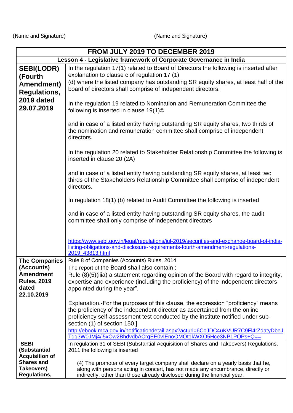(Name and Signature) (Name and Signature)

| FROM JULY 2019 TO DECEMBER 2019                                   |                                                                                                                                                                                                                                                                                                                                                                          |  |  |
|-------------------------------------------------------------------|--------------------------------------------------------------------------------------------------------------------------------------------------------------------------------------------------------------------------------------------------------------------------------------------------------------------------------------------------------------------------|--|--|
| Lesson 4 - Legislative framework of Corporate Governance in India |                                                                                                                                                                                                                                                                                                                                                                          |  |  |
| <b>SEBI(LODR)</b>                                                 | In the regulation 17(1) related to Board of Directors the following is inserted after                                                                                                                                                                                                                                                                                    |  |  |
| (Fourth                                                           | explanation to clause c of regulation 17 (1)                                                                                                                                                                                                                                                                                                                             |  |  |
| Amendment)                                                        | (d) where the listed company has outstanding SR equity shares, at least half of the<br>board of directors shall comprise of independent directors.                                                                                                                                                                                                                       |  |  |
| <b>Regulations,</b>                                               |                                                                                                                                                                                                                                                                                                                                                                          |  |  |
| 2019 dated<br>29.07.2019                                          | In the regulation 19 related to Nomination and Remuneration Committee the<br>following is inserted in clause 19(1) <sup>©</sup>                                                                                                                                                                                                                                          |  |  |
|                                                                   | and in case of a listed entity having outstanding SR equity shares, two thirds of<br>the nomination and remuneration committee shall comprise of independent<br>directors.                                                                                                                                                                                               |  |  |
|                                                                   | In the regulation 20 related to Stakeholder Relationship Committee the following is<br>inserted in clause 20 (2A)                                                                                                                                                                                                                                                        |  |  |
|                                                                   | and in case of a listed entity having outstanding SR equity shares, at least two<br>thirds of the Stakeholders Relationship Committee shall comprise of independent<br>directors.                                                                                                                                                                                        |  |  |
|                                                                   | In regulation 18(1) (b) related to Audit Committee the following is inserted                                                                                                                                                                                                                                                                                             |  |  |
|                                                                   | and in case of a listed entity having outstanding SR equity shares, the audit<br>committee shall only comprise of independent directors                                                                                                                                                                                                                                  |  |  |
|                                                                   | https://www.sebi.gov.in/legal/regulations/jul-2019/securities-and-exchange-board-of-india-<br>listing-obligations-and-disclosure-requirements-fourth-amendment-regulations-<br>2019_43813.html                                                                                                                                                                           |  |  |
| <b>The Companies</b>                                              | Rule 8 of Companies (Accounts) Rules, 2014                                                                                                                                                                                                                                                                                                                               |  |  |
| (Accounts)                                                        | The report of the Board shall also contain :                                                                                                                                                                                                                                                                                                                             |  |  |
| <b>Amendment</b>                                                  | Rule (8)(5)(iiia) a statement regarding opinion of the Board with regard to integrity,                                                                                                                                                                                                                                                                                   |  |  |
| <b>Rules, 2019</b><br>dated                                       | expertise and experience (including the proficiency) of the independent directors                                                                                                                                                                                                                                                                                        |  |  |
| 22.10.2019                                                        | appointed during the year".                                                                                                                                                                                                                                                                                                                                              |  |  |
|                                                                   | Explanation.-For the purposes of this clause, the expression "proficiency" means<br>the proficiency of the independent director as ascertained from the online<br>proficiency self-assessment test conducted by the institute notified under sub-<br>section (1) of section 150.]<br>http://ebook.mca.gov.in/notificationdetail.aspx?acturl=6CoJDC4uKVUR7C9FI4rZdatyDbeJ |  |  |
|                                                                   | Tqg3W0JMj4/l5xOw2BhdvdbACrqEE0vIEnoOMOt1kWXO5Hce3NP1PQPs+Q==                                                                                                                                                                                                                                                                                                             |  |  |
| <b>SEBI</b><br>(Substantial                                       | In regulation 31 of SEBI (Substantial Acquisition of Shares and Takeovers) Regulations,<br>2011 the following is inserted                                                                                                                                                                                                                                                |  |  |
| <b>Acquisition of</b>                                             |                                                                                                                                                                                                                                                                                                                                                                          |  |  |
| <b>Shares and</b><br>Takeovers)                                   | (4) The promoter of every target company shall declare on a yearly basis that he,<br>along with persons acting in concert, has not made any encumbrance, directly or                                                                                                                                                                                                     |  |  |
| <b>Regulations,</b>                                               | indirectly, other than those already disclosed during the financial year.                                                                                                                                                                                                                                                                                                |  |  |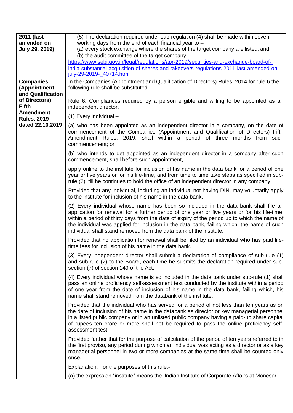| 2011 (last<br>amended on               | (5) The declaration required under sub-regulation (4) shall be made within seven<br>working days from the end of each financial year to -                                                                                                                                                                                                                                                                                                                |
|----------------------------------------|----------------------------------------------------------------------------------------------------------------------------------------------------------------------------------------------------------------------------------------------------------------------------------------------------------------------------------------------------------------------------------------------------------------------------------------------------------|
| <b>July 29, 2019)</b>                  | (a) every stock exchange where the shares of the target company are listed; and                                                                                                                                                                                                                                                                                                                                                                          |
|                                        | (b) the audit committee of the target company.<br>https://www.sebi.gov.in/legal/regulations/apr-2019/securities-and-exchange-board-of-                                                                                                                                                                                                                                                                                                                   |
|                                        | india-substantial-acquisition-of-shares-and-takeovers-regulations-2011-last-amended-on-                                                                                                                                                                                                                                                                                                                                                                  |
| <b>Companies</b>                       | july-29-2019-_40714.html<br>In the Companies (Appointment and Qualification of Directors) Rules, 2014 for rule 6 the                                                                                                                                                                                                                                                                                                                                     |
| (Appointment                           | following rule shall be substituted                                                                                                                                                                                                                                                                                                                                                                                                                      |
| and Qualification<br>of Directors)     |                                                                                                                                                                                                                                                                                                                                                                                                                                                          |
| <b>Fifth</b>                           | Rule 6. Compliances required by a person eligible and willing to be appointed as an<br>independent director.                                                                                                                                                                                                                                                                                                                                             |
| <b>Amendment</b><br><b>Rules, 2019</b> | (1) Every individual -                                                                                                                                                                                                                                                                                                                                                                                                                                   |
| dated 22.10.2019                       | (a) who has been appointed as an independent director in a company, on the date of                                                                                                                                                                                                                                                                                                                                                                       |
|                                        | commencement of the Companies (Appointment and Qualification of Directors) Fifth<br>Amendment Rules, 2019, shall within a period of three months from such<br>commencement; or                                                                                                                                                                                                                                                                           |
|                                        | (b) who intends to get appointed as an independent director in a company after such<br>commencement, shall before such appointment,                                                                                                                                                                                                                                                                                                                      |
|                                        | apply online to the institute for inclusion of his name in the data bank for a period of one<br>year or five years or for his life-time, and from time to time take steps as specified in sub-<br>rule (2), till he continues to hold the office of an independent director in any company:                                                                                                                                                              |
|                                        | Provided that any individual, including an individual not having DIN, may voluntarily apply<br>to the institute for inclusion of his name in the data bank.                                                                                                                                                                                                                                                                                              |
|                                        | (2) Every individual whose name has been so included in the data bank shall file an<br>application for renewal for a further period of one year or five years or for his life-time,<br>within a period of thirty days from the date of expiry of the period up to which the name of<br>the individual was applied for inclusion in the data bank, failing which, the name of such<br>individual shall stand removed from the data bank of the institute: |
|                                        | Provided that no application for renewal shall be filed by an individual who has paid life-<br>time fees for inclusion of his name in the data bank.                                                                                                                                                                                                                                                                                                     |
|                                        | (3) Every independent director shall submit a declaration of compliance of sub-rule (1)<br>and sub-rule (2) to the Board, each time he submits the declaration required under sub-<br>section (7) of section 149 of the Act.                                                                                                                                                                                                                             |
|                                        | (4) Every individual whose name is so included in the data bank under sub-rule (1) shall<br>pass an online proficiency self-assessment test conducted by the institute within a period<br>of one year from the date of inclusion of his name in the data bank, failing which, his<br>name shall stand removed from the databank of the institute:                                                                                                        |
|                                        | Provided that the individual who has served for a period of not less than ten years as on<br>the date of inclusion of his name in the databank as director or key managerial personnel<br>in a listed public company or in an unlisted public company having a paid-up share capital<br>of rupees ten crore or more shall not be required to pass the online proficiency self-<br>assessment test:                                                       |
|                                        | Provided further that for the purpose of calculation of the period of ten years referred to in<br>the first proviso, any period during which an individual was acting as a director or as a key<br>managerial personnel in two or more companies at the same time shall be counted only<br>once.                                                                                                                                                         |
|                                        | Explanation: For the purposes of this rule,-                                                                                                                                                                                                                                                                                                                                                                                                             |
|                                        | (a) the expression "institute" means the 'Indian Institute of Corporate Affairs at Manesar'                                                                                                                                                                                                                                                                                                                                                              |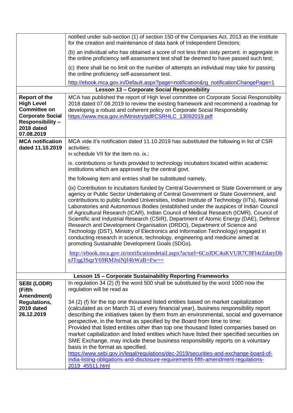|                                                                                                                                                    | notified under sub-section (1) of section 150 of the Companies Act, 2013 as the institute<br>for the creation and maintenance of data bank of Independent Directors;                                                                                                                                                                                                                                                                                                                                                                                                                                                                                                                                                                                                                                                                                        |
|----------------------------------------------------------------------------------------------------------------------------------------------------|-------------------------------------------------------------------------------------------------------------------------------------------------------------------------------------------------------------------------------------------------------------------------------------------------------------------------------------------------------------------------------------------------------------------------------------------------------------------------------------------------------------------------------------------------------------------------------------------------------------------------------------------------------------------------------------------------------------------------------------------------------------------------------------------------------------------------------------------------------------|
|                                                                                                                                                    | (b) an individual who has obtained a score of not less than sixty percent. in aggregate in<br>the online proficiency self-assessment test shall be deemed to have passed such test;                                                                                                                                                                                                                                                                                                                                                                                                                                                                                                                                                                                                                                                                         |
|                                                                                                                                                    | (c) there shall be no limit on the number of attempts an individual may take for passing<br>the online proficiency self-assessment test.                                                                                                                                                                                                                                                                                                                                                                                                                                                                                                                                                                                                                                                                                                                    |
|                                                                                                                                                    | http://ebook.mca.gov.in/Default.aspx?page=notification&rg_notificationChangePage=1                                                                                                                                                                                                                                                                                                                                                                                                                                                                                                                                                                                                                                                                                                                                                                          |
|                                                                                                                                                    | <b>Lesson 13 - Corporate Social Responsibility</b>                                                                                                                                                                                                                                                                                                                                                                                                                                                                                                                                                                                                                                                                                                                                                                                                          |
| <b>Report of the</b><br><b>High Level</b><br><b>Committee on</b><br><b>Corporate Social</b><br><b>Responsibility –</b><br>2018 dated<br>07.08.2019 | MCA has published the report of High level committee on Corporate Social Responsibility<br>2018 dated 07.08.2019 to review the existing framework and recommend a roadmap for<br>developing a robust and coherent policy on Corporate Social Responsibility<br>https://www.mca.gov.in/Ministry/pdf/CSRHLC 13092019.pdf                                                                                                                                                                                                                                                                                                                                                                                                                                                                                                                                      |
| <b>MCA</b> notification<br>dated 11.10.2019                                                                                                        | MCA vide it's notification dated 11.10.2019 has substituted the following in list of CSR<br>activities:<br>In schedule VII for the item no. ix.;                                                                                                                                                                                                                                                                                                                                                                                                                                                                                                                                                                                                                                                                                                            |
|                                                                                                                                                    | ix. contributions or funds provided to technology incubators located within academic<br>institutions which are approved by the central govt.                                                                                                                                                                                                                                                                                                                                                                                                                                                                                                                                                                                                                                                                                                                |
|                                                                                                                                                    | the following item and entries shall be substituted namely,                                                                                                                                                                                                                                                                                                                                                                                                                                                                                                                                                                                                                                                                                                                                                                                                 |
|                                                                                                                                                    | (ix) Contribution to incubators funded by Central Government or State Government or any<br>agency or Public Sector Undertaking of Central Government or State Government, and<br>contributions to public funded Universities, Indian Institute of Technology (IITs), National<br>Laboratories and Autonomous Bodies (established under the auspices of Indian Council<br>of Agricultural Research (ICAR), Indian Council of Medical Research (ICMR), Council of<br>Scientific and Industrial Research (CSIR), Department of Atomic Energy (DAE), Defence<br>Research and Development Organisation (DRDO), Department of Science and<br>Technology (DST), Ministry of Electronics and Information Technology) engaged in<br>conducting research in science, technology, engineering and medicine aimed at<br>promoting Sustainable Development Goals (SDGs). |
|                                                                                                                                                    | http://ebook.mca.gov.in/notificationdetail.aspx?acturl=6CoJDC4uKVUR7C9Fl4rZdatyDb<br>$eJTqg3SqzY69RMJniNif4bWaB+Fw==$                                                                                                                                                                                                                                                                                                                                                                                                                                                                                                                                                                                                                                                                                                                                       |
|                                                                                                                                                    | <b>Lesson 15 - Corporate Sustainability Reporting Frameworks</b>                                                                                                                                                                                                                                                                                                                                                                                                                                                                                                                                                                                                                                                                                                                                                                                            |
| <b>SEBI (LODR)</b>                                                                                                                                 | In regulation 34 (2) (f) the word 500 shall be substituted by the word 1000 now the                                                                                                                                                                                                                                                                                                                                                                                                                                                                                                                                                                                                                                                                                                                                                                         |
| (Fifth                                                                                                                                             | regulation will be read as                                                                                                                                                                                                                                                                                                                                                                                                                                                                                                                                                                                                                                                                                                                                                                                                                                  |
| Amendment)<br><b>Regulations,</b>                                                                                                                  | 34 (2) (f) for the top one thousand listed entities based on market capitalization                                                                                                                                                                                                                                                                                                                                                                                                                                                                                                                                                                                                                                                                                                                                                                          |
| 2019 dated                                                                                                                                         | (calculated as on March 31 of every financial year), business responsibility report                                                                                                                                                                                                                                                                                                                                                                                                                                                                                                                                                                                                                                                                                                                                                                         |
| 26.12.2019                                                                                                                                         | describing the initiatives taken by them from an environmental, social and governance                                                                                                                                                                                                                                                                                                                                                                                                                                                                                                                                                                                                                                                                                                                                                                       |
|                                                                                                                                                    | perspective, in the format as specified by the Board from time to time:                                                                                                                                                                                                                                                                                                                                                                                                                                                                                                                                                                                                                                                                                                                                                                                     |
|                                                                                                                                                    | Provided that listed entities other than top one thousand listed companies based on<br>market capitalization and listed entities which have listed their specified securities on                                                                                                                                                                                                                                                                                                                                                                                                                                                                                                                                                                                                                                                                            |
|                                                                                                                                                    | SME Exchange, may include these business responsibility reports on a voluntary                                                                                                                                                                                                                                                                                                                                                                                                                                                                                                                                                                                                                                                                                                                                                                              |
|                                                                                                                                                    | basis in the format as specified.                                                                                                                                                                                                                                                                                                                                                                                                                                                                                                                                                                                                                                                                                                                                                                                                                           |
|                                                                                                                                                    | https://www.sebi.gov.in/legal/regulations/dec-2019/securities-and-exchange-board-of-<br>india-listing-obligations-and-disclosure-requirements-fifth-amendment-regulations-<br>2019_45511.html                                                                                                                                                                                                                                                                                                                                                                                                                                                                                                                                                                                                                                                               |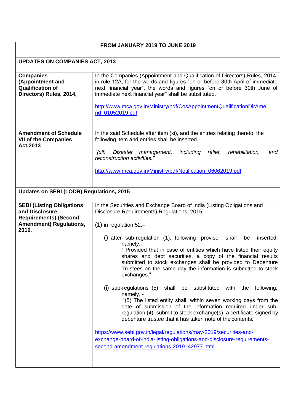#### **FROM JANUARY 2019 TO JUNE 2019**

## **UPDATES ON COMPANIES ACT, 2013**

| <b>Companies</b><br>(Appointment and<br><b>Qualification of</b><br>Directors) Rules, 2014,                                    | In the Companies (Appointment and Qualification of Directors) Rules, 2014,<br>in rule 12A, for the words and figures "on or before 30th April of immediate<br>next financial year", the words and figures "on or before 30th June of<br>immediate next financial year" shall be substituted.<br>http://www.mca.gov.in/Ministry/pdf/CosAppointmentQualificationDirAme<br>nd_01052019.pdf                                                                                                                                                                                                                                                                                                                                                                                                                                                                                                                                                                                                                                                                                                         |
|-------------------------------------------------------------------------------------------------------------------------------|-------------------------------------------------------------------------------------------------------------------------------------------------------------------------------------------------------------------------------------------------------------------------------------------------------------------------------------------------------------------------------------------------------------------------------------------------------------------------------------------------------------------------------------------------------------------------------------------------------------------------------------------------------------------------------------------------------------------------------------------------------------------------------------------------------------------------------------------------------------------------------------------------------------------------------------------------------------------------------------------------------------------------------------------------------------------------------------------------|
| <b>Amendment of Schedule</b><br><b>VII of the Companies</b><br>Act, 2013                                                      | In the said Schedule after item (xi), and the entries relating thereto, the<br>following item and entries shall be inserted -<br>" $(xii)$<br>including<br>rehabilitation,<br>Disaster<br>relief,<br>management,<br>and<br>reconstruction activities."<br>http://www.mca.gov.in/Ministry/pdf/Notification 06062019.pdf                                                                                                                                                                                                                                                                                                                                                                                                                                                                                                                                                                                                                                                                                                                                                                          |
| <b>Updates on SEBI (LODR) Regulations, 2015</b>                                                                               |                                                                                                                                                                                                                                                                                                                                                                                                                                                                                                                                                                                                                                                                                                                                                                                                                                                                                                                                                                                                                                                                                                 |
| <b>SEBI (Listing Obligations</b><br>and Disclosure<br><b>Requirements) (Second</b><br><b>Amendment) Regulations,</b><br>2019. | In the Securities and Exchange Board of India (Listing Obligations and<br>Disclosure Requirements) Regulations, 2015,-<br>$(1)$ in regulation 52,-<br>(i) after sub-regulation $(1)$ , following proviso<br>shall<br>be<br>inserted,<br>namely,-<br>" Provided that in case of entities which have listed their equity<br>shares and debt securities, a copy of the financial results<br>submitted to stock exchanges shall be provided to Debenture<br>Trustees on the same day the information is submitted to stock<br>exchanges."<br>(i) sub-regulations (5) shall be substituted with the following,<br>namely, -<br>"(5) The listed entity shall, within seven working days from the<br>date of submission of the information required under sub-<br>regulation (4), submit to stock exchange(s), a certificate signed by<br>debenture trustee that it has taken note of the contents."<br>https://www.sebi.gov.in/legal/regulations/may-2019/securities-and-<br>exchange-board-of-india-listing-obligations-and-disclosure-requirements-<br>second-amendment-regulations-2019 42977.html |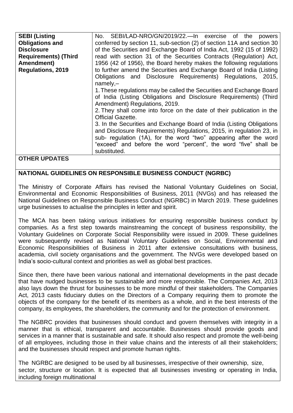| <b>SEBI (Listing</b>        | No. SEBI/LAD-NRO/GN/2019/22.—In exercise of the powers                 |
|-----------------------------|------------------------------------------------------------------------|
| <b>Obligations and</b>      | conferred by section 11, sub-section (2) of section 11A and section 30 |
| <b>Disclosure</b>           | of the Securities and Exchange Board of India Act, 1992 (15 of 1992)   |
| <b>Requirements) (Third</b> | read with section 31 of the Securities Contracts (Regulation) Act,     |
| Amendment)                  | 1956 (42 of 1956), the Board hereby makes the following regulations    |
| <b>Regulations, 2019</b>    | to further amend the Securities and Exchange Board of India (Listing   |
|                             | Obligations and Disclosure Requirements) Regulations, 2015,            |
|                             | $namely, -$                                                            |
|                             | 1. These regulations may be called the Securities and Exchange Board   |
|                             | of India (Listing Obligations and Disclosure Requirements) (Third      |
|                             | Amendment) Regulations, 2019.                                          |
|                             | 2. They shall come into force on the date of their publication in the  |
|                             | <b>Official Gazette.</b>                                               |
|                             | 3. In the Securities and Exchange Board of India (Listing Obligations  |
|                             | and Disclosure Requirements) Regulations, 2015, in regulation 23, in   |
|                             | sub- regulation (1A), for the word "two" appearing after the word      |
|                             | "exceed" and before the word "percent", the word "five" shall be       |
|                             | substituted.                                                           |
| ATUED UDDATEA               |                                                                        |

#### **OTHER UPDATES**

#### **NATIONAL GUIDELINES ON RESPONSIBLE BUSINESS CONDUCT (NGRBC)**

The Ministry of Corporate Affairs has revised the National Voluntary Guidelines on Social, Environmental and Economic Responsibilities of Business, 2011 (NVGs) and has released the National Guidelines on Responsible Business Conduct (NGRBC) in March 2019. These guidelines urge businesses to actualise the principles in letter and spirit.

The MCA has been taking various initiatives for ensuring responsible business conduct by companies. As a first step towards mainstreaming the concept of business responsibility, the Voluntary Guidelines on Corporate Social Responsibility were issued in 2009. These guidelines were subsequently revised as National Voluntary Guidelines on Social, Environmental and Economic Responsibilities of Business in 2011 after extensive consultations with business, academia, civil society organisations and the government. The NVGs were developed based on India's socio-cultural context and priorities as well as global best practices.

Since then, there have been various national and international developments in the past decade that have nudged businesses to be sustainable and more responsible. The Companies Act, 2013 also lays down the thrust for businesses to be more mindful of their stakeholders. The Companies Act, 2013 casts fiduciary duties on the Directors of a Company requiring them to promote the objects of the company for the benefit of its members as a whole, and in the best interests of the company, its employees, the shareholders, the community and for the protection of environment.

The NGBRC provides that businesses should conduct and govern themselves with integrity in a manner that is ethical, transparent and accountable. Businesses should provide goods and services in a manner that is sustainable and safe. It should also respect and promote the well-being of all employees, including those in their value chains and the interests of all their stakeholders; and the businesses should respect and promote human rights.

The NGRBC are designed to be used by all businesses, irrespective of their ownership, size, sector, structure or location. It is expected that all businesses investing or operating in India, including foreign multinational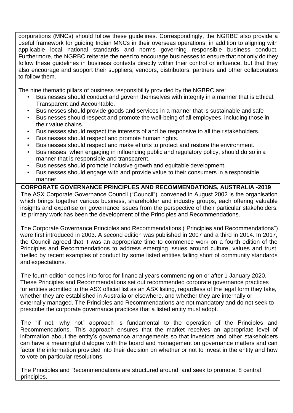corporations (MNCs) should follow these guidelines. Correspondingly, the NGRBC also provide a useful framework for guiding Indian MNCs in their overseas operations, in addition to aligning with applicable local national standards and norms governing responsible business conduct. Furthermore, the NGRBC reiterate the need to encourage businesses to ensure that not only do they follow these guidelines in business contexts directly within their control or influence, but that they also encourage and support their suppliers, vendors, distributors, partners and other collaborators to follow them.

The nine thematic pillars of business responsibility provided by the NGBRC are:

- Businesses should conduct and govern themselves with integrity in a manner that is Ethical, Transparent and Accountable.
- Businesses should provide goods and services in a manner that is sustainable and safe
- Businesses should respect and promote the well-being of all employees, including those in their value chains.
- Businesses should respect the interests of and be responsive to all their stakeholders.
- Businesses should respect and promote human rights.
- Businesses should respect and make efforts to protect and restore the environment.
- Businesses, when engaging in influencing public and regulatory policy, should do so in a manner that is responsible and transparent.
- Businesses should promote inclusive growth and equitable development.
- Businesses should engage with and provide value to their consumers in a responsible manner.

### **CORPORATE GOVERNANCE PRINCIPLES AND RECOMMENDATIONS, AUSTRALIA -2019**

The ASX Corporate Governance Council ("Council"), convened in August 2002 is the organisation which brings together various business, shareholder and industry groups, each offering valuable insights and expertise on governance issues from the perspective of their particular stakeholders. Its primary work has been the development of the Principles and Recommendations.

The Corporate Governance Principles and Recommendations ("Principles and Recommendations") were first introduced in 2003. A second edition was published in 2007 and a third in 2014. In 2017, the Council agreed that it was an appropriate time to commence work on a fourth edition of the Principles and Recommendations to address emerging issues around culture, values and trust, fuelled by recent examples of conduct by some listed entities falling short of community standards and expectations.

The fourth edition comes into force for financial years commencing on or after 1 January 2020. These Principles and Recommendations set out recommended corporate governance practices for entities admitted to the ASX official list as an ASX listing, regardless of the legal form they take, whether they are established in Australia or elsewhere, and whether they are internally or externally managed. The Principles and Recommendations are not mandatory and do not seek to prescribe the corporate governance practices that a listed entity must adopt.

The "if not, why not" approach is fundamental to the operation of the Principles and Recommendations. This approach ensures that the market receives an appropriate level of information about the entity's governance arrangements so that investors and other stakeholders can have a meaningful dialogue with the board and management on governance matters and can factor the information provided into their decision on whether or not to invest in the entity and how to vote on particular resolutions.

The Principles and Recommendations are structured around, and seek to promote, 8 central principles.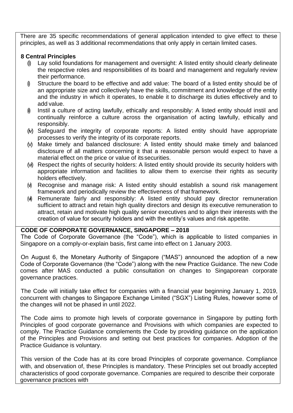There are 35 specific recommendations of general application intended to give effect to these principles, as well as 3 additional recommendations that only apply in certain limited cases.

#### **8 Central Principles**

- (i) Lay solid foundations for management and oversight: A listed entity should clearly delineate the respective roles and responsibilities of its board and management and regularly review their performance.
- $\emptyset$  Structure the board to be effective and add value: The board of a listed entity should be of an appropriate size and collectively have the skills, commitment and knowledge of the entity and the industry in which it operates, to enable it to discharge its duties effectively and to add value.
- $\phi$  Instil a culture of acting lawfully, ethically and responsibly: A listed entity should instil and continually reinforce a culture across the organisation of acting lawfully, ethically and responsibly.
- (iv) Safeguard the integrity of corporate reports: A listed entity should have appropriate processes to verify the integrity of its corporate reports.
- (v) Make timely and balanced disclosure: A listed entity should make timely and balanced disclosure of all matters concerning it that a reasonable person would expect to have a material effect on the price or value of itssecurities.
- (vi) Respect the rights of security holders: A listed entity should provide its security holders with appropriate information and facilities to allow them to exercise their rights as security holders effectively.
- (vi) Recognise and manage risk: A listed entity should establish a sound risk management framework and periodically review the effectiveness of that framework.
- (vi) Remunerate fairly and responsibly: A listed entity should pay director remuneration sufficient to attract and retain high quality directors and design its executive remuneration to attract, retain and motivate high quality senior executives and to align their interests with the creation of value for security holders and with the entity's values and risk appetite.

#### **CODE OF CORPORATE GOVERNANCE, SINGAPORE – 2018**

The Code of Corporate Governance (the "Code"), which is applicable to listed companies in Singapore on a comply-or-explain basis, first came into effect on 1 January 2003.

On August 6, the Monetary Authority of Singapore ("MAS") announced the adoption of a new Code of Corporate Governance (the "Code") along with the new Practice Guidance. The new Code comes after MAS conducted a public consultation on changes to Singaporean corporate governance practices.

The Code will initially take effect for companies with a financial year beginning January 1, 2019, concurrent with changes to Singapore Exchange Limited ("SGX") Listing Rules, however some of the changes will not be phased in until 2022.

The Code aims to promote high levels of corporate governance in Singapore by putting forth Principles of good corporate governance and Provisions with which companies are expected to comply. The Practice Guidance complements the Code by providing guidance on the application of the Principles and Provisions and setting out best practices for companies. Adoption of the Practice Guidance is voluntary.

This version of the Code has at its core broad Principles of corporate governance. Compliance with, and observation of, these Principles is mandatory. These Principles set out broadly accepted characteristics of good corporate governance. Companies are required to describe their corporate governance practices with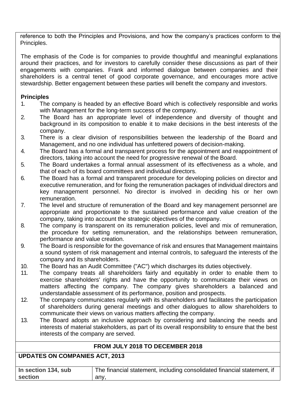reference to both the Principles and Provisions, and how the company's practices conform to the Principles.

The emphasis of the Code is for companies to provide thoughtful and meaningful explanations around their practices, and for investors to carefully consider these discussions as part of their engagements with companies. Frank and informed dialogue between companies and their shareholders is a central tenet of good corporate governance, and encourages more active stewardship. Better engagement between these parties will benefit the company and investors.

#### **Principles**

- 1. The company is headed by an effective Board which is collectively responsible and works with Management for the long-term success of the company.
- 2. The Board has an appropriate level of independence and diversity of thought and background in its composition to enable it to make decisions in the best interests of the company.
- 3. There is a clear division of responsibilities between the leadership of the Board and Management, and no one individual has unfettered powers of decision-making.
- 4. The Board has a formal and transparent process for the appointment and reappointment of directors, taking into account the need for progressive renewal of the Board.
- 5. The Board undertakes a formal annual assessment of its effectiveness as a whole, and that of each of its board committees and individual directors.
- 6. The Board has a formal and transparent procedure for developing policies on director and executive remuneration, and for fixing the remuneration packages of individual directors and key management personnel. No director is involved in deciding his or her own remuneration.
- 7. The level and structure of remuneration of the Board and key management personnel are appropriate and proportionate to the sustained performance and value creation of the company, taking into account the strategic objectives of the company.
- 8. The company is transparent on its remuneration policies, level and mix of remuneration, the procedure for setting remuneration, and the relationships between remuneration, performance and value creation.
- 9. The Board is responsible for the governance of risk and ensures that Management maintains a sound system of risk management and internal controls, to safeguard the interests of the company and its shareholders.
- 10. The Board has an Audit Committee ("AC") which discharges its duties objectively.
- 11. The company treats all shareholders fairly and equitably in order to enable them to exercise shareholders' rights and have the opportunity to communicate their views on matters affecting the company. The company gives shareholders a balanced and understandable assessment of its performance, position and prospects.
- 12. The company communicates regularly with its shareholders and facilitates the participation of shareholders during general meetings and other dialogues to allow shareholders to communicate their views on various matters affecting the company.
- 13. The Board adopts an inclusive approach by considering and balancing the needs and interests of material stakeholders, as part of its overall responsibility to ensure that the best interests of the company are served.

#### **FROM JULY 2018 TO DECEMBER 2018**

#### **UPDATES ON COMPANIES ACT, 2013**

| In section 134, sub | The financial statement, including consolidated financial statement, if |
|---------------------|-------------------------------------------------------------------------|
| section             | anv.                                                                    |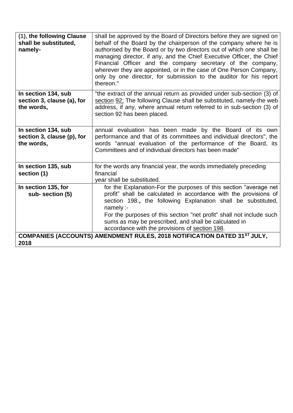| (1), the following Clause<br>shall be substituted,<br>namely-   | shall be approved by the Board of Directors before they are signed on<br>behalf of the Board by the chairperson of the company where he is<br>authorised by the Board or by two directors out of which one shall be<br>managing director, if any, and the Chief Executive Officer, the Chief<br>Financial Officer and the company secretary of the company,<br>wherever they are appointed, or in the case of One Person Company,<br>only by one director, for submission to the auditor for his report<br>thereon." |
|-----------------------------------------------------------------|----------------------------------------------------------------------------------------------------------------------------------------------------------------------------------------------------------------------------------------------------------------------------------------------------------------------------------------------------------------------------------------------------------------------------------------------------------------------------------------------------------------------|
| In section 134, sub<br>section 3, clause (a), for<br>the words, | "the extract of the annual return as provided under sub-section (3) of<br>section 92; The following Clause shall be substituted, namely-the web<br>address, if any, where annual return referred to in sub-section (3) of<br>section 92 has been placed.                                                                                                                                                                                                                                                             |
| In section 134, sub<br>section 3, clause (p), for<br>the words, | annual evaluation has been made by the Board of its own<br>performance and that of its committees and individual directors", the<br>words "annual evaluation of the performance of the Board, its<br>Committees and of individual directors has been made"                                                                                                                                                                                                                                                           |
| In section 135, sub<br>section (1)                              | for the words any financial year, the words immediately preceding<br>financial<br>year shall be substituted.                                                                                                                                                                                                                                                                                                                                                                                                         |
| In section 135, for<br>sub-section (5)                          | for the Explanation-For the purposes of this section "average net<br>profit" shall be calculated in accordance with the provisions of<br>section 198., the following Explanation shall be substituted,<br>namely:<br>For the purposes of this section "net profit" shall not include such<br>sums as may be prescribed, and shall be calculated in<br>accordance with the provisions of section 198.                                                                                                                 |
| 2018                                                            | <b>COMPANIES (ACCOUNTS) AMENDMENT RULES, 2018 NOTIFICATION DATED 31ST JULY,</b>                                                                                                                                                                                                                                                                                                                                                                                                                                      |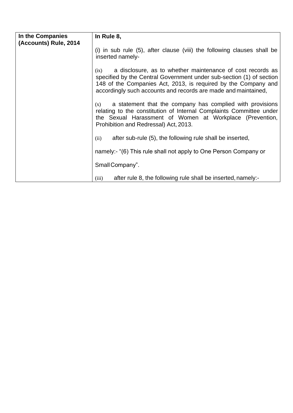| In the Companies<br>(Accounts) Rule, 2014 | In Rule 8,                                                                                                                                                                                                                                                                     |
|-------------------------------------------|--------------------------------------------------------------------------------------------------------------------------------------------------------------------------------------------------------------------------------------------------------------------------------|
|                                           | $(i)$ in sub rule $(5)$ , after clause (viii) the following clauses shall be<br>inserted namely-                                                                                                                                                                               |
|                                           | a disclosure, as to whether maintenance of cost records as<br>(ix)<br>specified by the Central Government under sub-section (1) of section<br>148 of the Companies Act, 2013, is required by the Company and<br>accordingly such accounts and records are made and maintained, |
|                                           | a statement that the company has complied with provisions<br>(x)<br>relating to the constitution of Internal Complaints Committee under<br>the Sexual Harassment of Women at Workplace (Prevention,<br>Prohibition and Redressal) Act, 2013.                                   |
|                                           | after sub-rule (5), the following rule shall be inserted,<br>(ii)                                                                                                                                                                                                              |
|                                           | namely:- "(6) This rule shall not apply to One Person Company or                                                                                                                                                                                                               |
|                                           | Small Company".                                                                                                                                                                                                                                                                |
|                                           | after rule 8, the following rule shall be inserted, namely:-<br>(iii)                                                                                                                                                                                                          |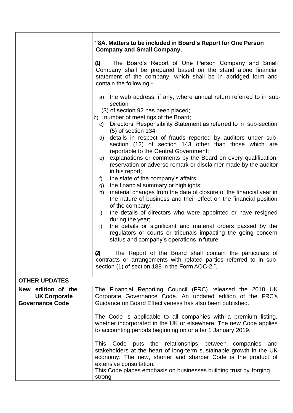|                                           | "8A. Matters to be included in Board's Report for One Person<br><b>Company and Small Company.</b>                                                                                                                                                                                                          |
|-------------------------------------------|------------------------------------------------------------------------------------------------------------------------------------------------------------------------------------------------------------------------------------------------------------------------------------------------------------|
|                                           | The Board's Report of One Person Company and Small<br>(1)<br>Company shall be prepared based on the stand alone financial<br>statement of the company, which shall be in abridged form and<br>contain the following:-                                                                                      |
|                                           | a) the web address, if any, where annual return referred to in sub-<br>section                                                                                                                                                                                                                             |
|                                           | (3) of section 92 has been placed;<br>b) number of meetings of the Board;                                                                                                                                                                                                                                  |
|                                           | c) Directors' Responsibility Statement as referred to in sub-section<br>$(5)$ of section 134;                                                                                                                                                                                                              |
|                                           | details in respect of frauds reported by auditors under sub-<br>d)<br>section (12) of section 143 other than those which are                                                                                                                                                                               |
|                                           | reportable to the Central Government;<br>explanations or comments by the Board on every qualification,<br>e)<br>reservation or adverse remark or disclaimer made by the auditor<br>in his report;<br>the state of the company's affairs;<br>f)                                                             |
|                                           | the financial summary or highlights;<br>g)                                                                                                                                                                                                                                                                 |
|                                           | material changes from the date of closure of the financial year in<br>h)<br>the nature of business and their effect on the financial position<br>of the company;                                                                                                                                           |
|                                           | the details of directors who were appointed or have resigned<br>i)<br>during the year;                                                                                                                                                                                                                     |
|                                           | the details or significant and material orders passed by the<br>j)<br>regulators or courts or tribunals impacting the going concern<br>status and company's operations in future.                                                                                                                          |
|                                           | The Report of the Board shall contain the particulars of<br>$\boldsymbol{z}$<br>contracts or arrangements with related parties referred to in sub-<br>section (1) of section 188 in the Form AOC-2.".                                                                                                      |
| <b>OTHER UPDATES</b>                      |                                                                                                                                                                                                                                                                                                            |
| New edition of the<br><b>UK Corporate</b> | The Financial Reporting Council (FRC) released the 2018 UK<br>Corporate Governance Code. An updated edition of the FRC's                                                                                                                                                                                   |
| <b>Governance Code</b>                    | Guidance on Board Effectiveness has also been published.                                                                                                                                                                                                                                                   |
|                                           | The Code is applicable to all companies with a premium listing,<br>whether incorporated in the UK or elsewhere. The new Code applies<br>to accounting periods beginning on or after 1 January 2019.                                                                                                        |
|                                           | This Code puts the relationships between companies<br>and<br>stakeholders at the heart of long-term sustainable growth in the UK<br>economy. The new, shorter and sharper Code is the product of<br>extensive consultation.<br>This Code places emphasis on businesses building trust by forging<br>strong |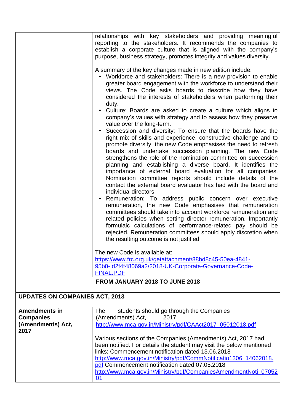|                                                               | relationships with key stakeholders and providing meaningful<br>reporting to the stakeholders. It recommends the companies to<br>establish a corporate culture that is aligned with the company's<br>purpose, business strategy, promotes integrity and values diversity.<br>A summary of the key changes made in new edition include:<br>• Workforce and stakeholders: There is a new provision to enable<br>greater board engagement with the workforce to understand their<br>views. The Code asks boards to describe how they have<br>considered the interests of stakeholders when performing their<br>duty.<br>Culture: Boards are asked to create a culture which aligns to<br>company's values with strategy and to assess how they preserve<br>value over the long-term.<br>Succession and diversity: To ensure that the boards have the<br>right mix of skills and experience, constructive challenge and to<br>promote diversity, the new Code emphasises the need to refresh<br>boards and undertake succession planning. The new Code<br>strengthens the role of the nomination committee on succession<br>planning and establishing a diverse board. It identifies the<br>importance of external board evaluation for all companies.<br>Nomination committee reports should include details of the<br>contact the external board evaluator has had with the board and<br>individual directors.<br>Remuneration: To address public concern over executive<br>remuneration, the new Code emphasises that remuneration |
|---------------------------------------------------------------|-----------------------------------------------------------------------------------------------------------------------------------------------------------------------------------------------------------------------------------------------------------------------------------------------------------------------------------------------------------------------------------------------------------------------------------------------------------------------------------------------------------------------------------------------------------------------------------------------------------------------------------------------------------------------------------------------------------------------------------------------------------------------------------------------------------------------------------------------------------------------------------------------------------------------------------------------------------------------------------------------------------------------------------------------------------------------------------------------------------------------------------------------------------------------------------------------------------------------------------------------------------------------------------------------------------------------------------------------------------------------------------------------------------------------------------------------------------------------------------------------------------------------------------|
|                                                               | committees should take into account workforce remuneration and<br>related policies when setting director remuneration. Importantly<br>formulaic calculations of performance-related pay should be<br>rejected. Remuneration committees should apply discretion when<br>the resulting outcome is not justified.                                                                                                                                                                                                                                                                                                                                                                                                                                                                                                                                                                                                                                                                                                                                                                                                                                                                                                                                                                                                                                                                                                                                                                                                                    |
|                                                               | The new Code is available at:<br>https://www.frc.org.uk/getattachment/88bd8c45-50ea-4841-<br>95b0-d2f4f48069a2/2018-UK-Corporate-Governance-Code-<br><b>FINAL.PDF</b>                                                                                                                                                                                                                                                                                                                                                                                                                                                                                                                                                                                                                                                                                                                                                                                                                                                                                                                                                                                                                                                                                                                                                                                                                                                                                                                                                             |
|                                                               | FROM JANUARY 2018 TO JUNE 2018                                                                                                                                                                                                                                                                                                                                                                                                                                                                                                                                                                                                                                                                                                                                                                                                                                                                                                                                                                                                                                                                                                                                                                                                                                                                                                                                                                                                                                                                                                    |
| <b>UPDATES ON COMPANIES ACT, 2013</b>                         |                                                                                                                                                                                                                                                                                                                                                                                                                                                                                                                                                                                                                                                                                                                                                                                                                                                                                                                                                                                                                                                                                                                                                                                                                                                                                                                                                                                                                                                                                                                                   |
| <b>Amendments in</b><br><b>Companies</b><br>(Amendments) Act, | students should go through the Companies<br>The<br>(Amendments) Act,<br>2017.<br>http://www.mca.gov.in/Ministry/pdf/CAAct2017_05012018.pdf                                                                                                                                                                                                                                                                                                                                                                                                                                                                                                                                                                                                                                                                                                                                                                                                                                                                                                                                                                                                                                                                                                                                                                                                                                                                                                                                                                                        |
| 2017                                                          | Various sections of the Companies (Amendments) Act, 2017 had<br>been notified. For details the student may visit the below mentioned<br>links: Commencement notification dated 13.06.2018<br>http://www.mca.gov.in/Ministry/pdf/CommNotificatio1306_14062018.<br>pdf Commencement notification dated 07.05.2018<br>http://www.mca.gov.in/Ministry/pdf/CompaniesAmendmentNoti_07052<br>01                                                                                                                                                                                                                                                                                                                                                                                                                                                                                                                                                                                                                                                                                                                                                                                                                                                                                                                                                                                                                                                                                                                                          |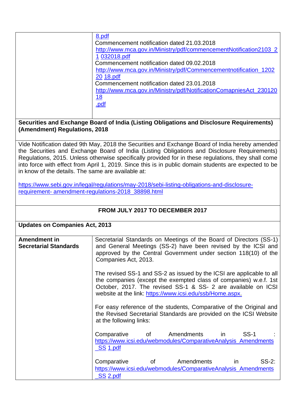| 8.pdf<br>Commencement notification dated 21.03.2018<br>http://www.mca.gov.in/Ministry/pdf/commencementNotification2103_2<br>1 032018.pdf<br>Commencement notification dated 09.02.2018<br>http://www.mca.gov.in/Ministry/pdf/Commencementnotification_1202<br>20 18.pdf<br>Commencement notification dated 23.01.2018<br>http://www.mca.gov.in/Ministry/pdf/NotificationComapniesAct 230120<br>18<br>.pdf |
|-----------------------------------------------------------------------------------------------------------------------------------------------------------------------------------------------------------------------------------------------------------------------------------------------------------------------------------------------------------------------------------------------------------|
|-----------------------------------------------------------------------------------------------------------------------------------------------------------------------------------------------------------------------------------------------------------------------------------------------------------------------------------------------------------------------------------------------------------|

#### **Securities and Exchange Board of India (Listing Obligations and Disclosure Requirements) (Amendment) Regulations, 2018**

Vide Notification dated 9th May, 2018 the Securities and Exchange Board of India hereby amended the Securities and Exchange Board of India (Listing Obligations and Disclosure Requirements) Regulations, 2015. Unless otherwise specifically provided for in these regulations, they shall come into force with effect from April 1, 2019. Since this is in public domain students are expected to be in know of the details. The same are available at:

[https://www.sebi.gov.in/legal/regulations/may-2018/sebi-listing-obligations-and-disclosure](https://www.sebi.gov.in/legal/regulations/may-2018/sebi-listing-obligations-and-disclosure-%20requirement-amendment-regulations-2018_38898.html)[requirement-](https://www.sebi.gov.in/legal/regulations/may-2018/sebi-listing-obligations-and-disclosure-%20requirement-amendment-regulations-2018_38898.html) [amendment-regulations-2018\\_38898.html](https://www.sebi.gov.in/legal/regulations/may-2018/sebi-listing-obligations-and-disclosure-%20requirement-amendment-regulations-2018_38898.html)

| <b>FROM JULY 2017 TO DECEMBER 2017</b>              |                                                                                                                                                                                                                                                                         |  |
|-----------------------------------------------------|-------------------------------------------------------------------------------------------------------------------------------------------------------------------------------------------------------------------------------------------------------------------------|--|
|                                                     | <b>Updates on Companies Act, 2013</b>                                                                                                                                                                                                                                   |  |
| <b>Amendment in</b><br><b>Secretarial Standards</b> | Secretarial Standards on Meetings of the Board of Directors (SS-1)<br>and General Meetings (SS-2) have been revised by the ICSI and<br>approved by the Central Government under section 118(10) of the<br>Companies Act, 2013.                                          |  |
|                                                     | The revised SS-1 and SS-2 as issued by the ICSI are applicable to all<br>the companies (except the exempted class of companies) w.e.f. 1st<br>October, 2017. The revised SS-1 & SS- 2 are available on ICSI<br>website at the link: https://www.icsi.edu/ssb/Home.aspx. |  |
|                                                     | For easy reference of the students, Comparative of the Original and<br>the Revised Secretarial Standards are provided on the ICSI Website<br>at the following links:                                                                                                    |  |
|                                                     | $SS-1$<br>Comparative of Amendments in<br>https://www.icsi.edu/webmodules/ComparativeAnalysis_Amendments<br><u>SS 1.pdf</u>                                                                                                                                             |  |
|                                                     | Comparative of Amendments in<br>$SS-2$ :<br>https://www.icsi.edu/webmodules/ComparativeAnalysis_Amendments<br>SS <sub>2.pdf</sub>                                                                                                                                       |  |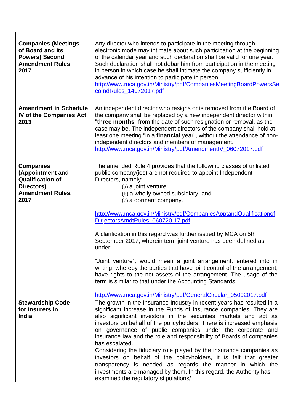| <b>Companies (Meetings)</b><br>of Board and its<br><b>Powers) Second</b><br><b>Amendment Rules</b><br>2017       | Any director who intends to participate in the meeting through<br>electronic mode may intimate about such participation at the beginning<br>of the calendar year and such declaration shall be valid for one year.<br>Such declaration shall not debar him from participation in the meeting<br>in person in which case he shall intimate the company sufficiently in<br>advance of his intention to participate in person.<br>http://www.mca.gov.in/Ministry/pdf/CompaniesMeetingBoardPowersSe<br>co ndRules_14072017.pdf                                                                                                                                                                                                                                                                                                                 |
|------------------------------------------------------------------------------------------------------------------|--------------------------------------------------------------------------------------------------------------------------------------------------------------------------------------------------------------------------------------------------------------------------------------------------------------------------------------------------------------------------------------------------------------------------------------------------------------------------------------------------------------------------------------------------------------------------------------------------------------------------------------------------------------------------------------------------------------------------------------------------------------------------------------------------------------------------------------------|
| <b>Amendment in Schedule</b><br>IV of the Companies Act,<br>2013                                                 | An independent director who resigns or is removed from the Board of<br>the company shall be replaced by a new independent director within<br>"three months" from the date of such resignation or removal, as the<br>case may be. The independent directors of the company shall hold at<br>least one meeting "in a financial year", without the attendance of non-<br>independent directors and members of management.<br>http://www.mca.gov.in/Ministry/pdf/AmendmentlV_06072017.pdf                                                                                                                                                                                                                                                                                                                                                      |
| <b>Companies</b><br>(Appointment and<br><b>Qualification of</b><br>Directors)<br><b>Amendment Rules,</b><br>2017 | The amended Rule 4 provides that the following classes of unlisted<br>public company(ies) are not required to appoint Independent<br>Directors, namely:-.<br>(a) a joint venture;<br>(b) a wholly owned subsidiary; and<br>(c) a dormant company.<br>http://www.mca.gov.in/Ministry/pdf/CompaniesApptandQualificationof<br>Dir ectorsAmdtRules_060720 17.pdf<br>A clarification in this regard was further issued by MCA on 5th<br>September 2017, wherein term joint venture has been defined as<br>under:<br>"Joint venture", would mean a joint arrangement, entered into in<br>writing, whereby the parties that have joint control of the arrangement,<br>have rights to the net assets of the arrangement. The usage of the<br>term is similar to that under the Accounting Standards.                                               |
| <b>Stewardship Code</b><br>for Insurers in<br><b>India</b>                                                       | http://www.mca.gov.in/Ministry/pdf/GeneralCircular_05092017.pdf<br>The growth in the Insurance Industry in recent years has resulted in a<br>significant increase in the Funds of insurance companies. They are<br>also significant investors in the securities markets and act as<br>investors on behalf of the policyholders. There is increased emphasis<br>on governance of public companies under the corporate and<br>insurance law and the role and responsibility of Boards of companies<br>has escalated.<br>Considering the fiduciary role played by the insurance companies as<br>investors on behalf of the policyholders, it is felt that greater<br>transparency is needed as regards the manner in which the<br>investments are managed by them. In this regard, the Authority has<br>examined the regulatory stipulations/ |